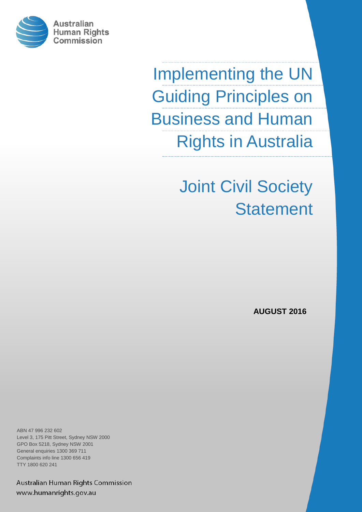

Implementing the UN Guiding Principles on Business and Human Rights in Australia

> Joint Civil Society **Statement**

> > **AUGUST 2016**

ABN 47 996 232 602 Level 3, 175 Pitt Street, Sydney NSW 2000 GPO Box 5218, Sydney NSW 2001 General enquiries 1300 369 711 Complaints info line 1300 656 419 TTY 1800 620 241

Australian Human Rights Commission www.humanrights.gov.au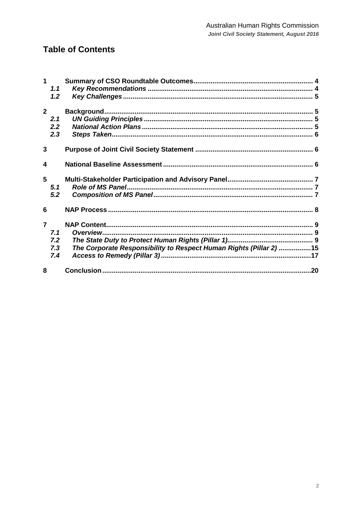## **Table of Contents**

| 1              | 1.1 |                                                                    |  |
|----------------|-----|--------------------------------------------------------------------|--|
|                | 1.2 |                                                                    |  |
| 2 <sup>1</sup> |     |                                                                    |  |
|                | 2.1 |                                                                    |  |
|                | 2.2 |                                                                    |  |
|                | 2.3 |                                                                    |  |
|                |     |                                                                    |  |
| 3              |     |                                                                    |  |
|                |     |                                                                    |  |
| 4              |     |                                                                    |  |
| 5              |     |                                                                    |  |
|                | 5.1 |                                                                    |  |
|                | 5.2 |                                                                    |  |
| 6              |     |                                                                    |  |
| $\overline{7}$ |     |                                                                    |  |
|                | 7.1 |                                                                    |  |
|                | 7.2 |                                                                    |  |
|                | 7.3 | The Corporate Responsibility to Respect Human Rights (Pillar 2) 15 |  |
|                | 7.4 |                                                                    |  |
| 8              |     |                                                                    |  |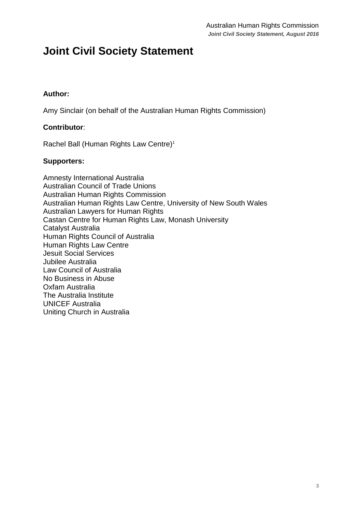## **Joint Civil Society Statement**

#### **Author:**

Amy Sinclair (on behalf of the Australian Human Rights Commission)

#### **Contributor**:

Rachel Ball (Human Rights Law Centre)<sup>1</sup>

#### **Supporters:**

Amnesty International Australia Australian Council of Trade Unions Australian Human Rights Commission Australian Human Rights Law Centre, University of New South Wales Australian Lawyers for Human Rights Castan Centre for Human Rights Law, Monash University Catalyst Australia Human Rights Council of Australia Human Rights Law Centre Jesuit Social Services Jubilee Australia Law Council of Australia No Business in Abuse Oxfam Australia The Australia Institute UNICEF Australia Uniting Church in Australia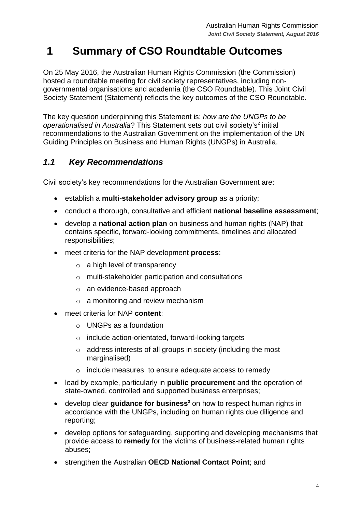# <span id="page-3-0"></span>**1 Summary of CSO Roundtable Outcomes**

On 25 May 2016, the Australian Human Rights Commission (the Commission) hosted a roundtable meeting for civil society representatives, including nongovernmental organisations and academia (the CSO Roundtable). This Joint Civil Society Statement (Statement) reflects the key outcomes of the CSO Roundtable.

The key question underpinning this Statement is: *how are the UNGPs to be*  operationalised in Australia? This Statement sets out civil society's<sup>2</sup> initial recommendations to the Australian Government on the implementation of the UN Guiding Principles on Business and Human Rights (UNGPs) in Australia.

### <span id="page-3-1"></span>*1.1 Key Recommendations*

Civil society's key recommendations for the Australian Government are:

- establish a **multi-stakeholder advisory group** as a priority;
- conduct a thorough, consultative and efficient **national baseline assessment**;
- develop a **national action plan** on business and human rights (NAP) that contains specific, forward-looking commitments, timelines and allocated responsibilities;
- meet criteria for the NAP development **process**:
	- $\circ$  a high level of transparency
	- o multi-stakeholder participation and consultations
	- o an evidence-based approach
	- o a monitoring and review mechanism
- meet criteria for NAP **content**:
	- $\circ$  UNGPs as a foundation
	- o include action-orientated, forward-looking targets
	- o address interests of all groups in society (including the most marginalised)
	- o include measures to ensure adequate access to remedy
- lead by example, particularly in **public procurement** and the operation of state-owned, controlled and supported business enterprises;
- develop clear **guidance for business<sup>3</sup>** on how to respect human rights in accordance with the UNGPs, including on human rights due diligence and reporting;
- develop options for safeguarding, supporting and developing mechanisms that provide access to **remedy** for the victims of business-related human rights abuses;
- strengthen the Australian **OECD National Contact Point**; and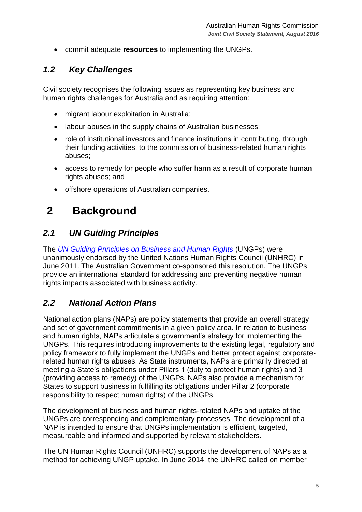commit adequate **resources** to implementing the UNGPs.

### <span id="page-4-0"></span>*1.2 Key Challenges*

Civil society recognises the following issues as representing key business and human rights challenges for Australia and as requiring attention:

- migrant labour exploitation in Australia;
- labour abuses in the supply chains of Australian businesses;
- role of institutional investors and finance institutions in contributing, through their funding activities, to the commission of business-related human rights abuses;
- access to remedy for people who suffer harm as a result of corporate human rights abuses; and
- offshore operations of Australian companies.

# <span id="page-4-1"></span>**2 Background**

### <span id="page-4-2"></span>*2.1 UN Guiding Principles*

The *[UN Guiding Principles on Business and Human Rights](http://www.ohchr.org/Documents/Publications/GuidingPrinciplesBusinessHR_EN.pdf)* (UNGPs) were unanimously endorsed by the United Nations Human Rights Council (UNHRC) in June 2011. The Australian Government co-sponsored this resolution. The UNGPs provide an international standard for addressing and preventing negative human rights impacts associated with business activity.

### <span id="page-4-3"></span>*2.2 National Action Plans*

National action plans (NAPs) are policy statements that provide an overall strategy and set of government commitments in a given policy area. In relation to business and human rights, NAPs articulate a government's strategy for implementing the UNGPs. This requires introducing improvements to the existing legal, regulatory and policy framework to fully implement the UNGPs and better protect against corporaterelated human rights abuses. As State instruments, NAPs are primarily directed at meeting a State's obligations under Pillars 1 (duty to protect human rights) and 3 (providing access to remedy) of the UNGPs. NAPs also provide a mechanism for States to support business in fulfilling its obligations under Pillar 2 (corporate responsibility to respect human rights) of the UNGPs.

The development of business and human rights-related NAPs and uptake of the UNGPs are corresponding and complementary processes. The development of a NAP is intended to ensure that UNGPs implementation is efficient, targeted, measureable and informed and supported by relevant stakeholders.

The UN Human Rights Council (UNHRC) supports the development of NAPs as a method for achieving UNGP uptake. In June 2014, the UNHRC called on member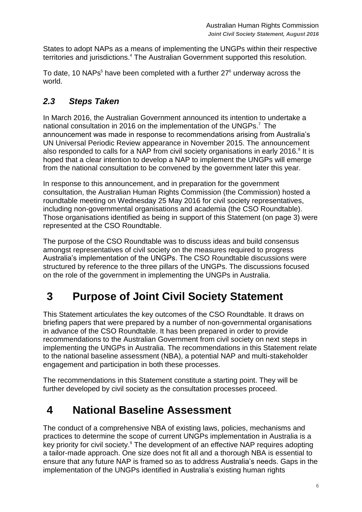States to adopt NAPs as a means of implementing the UNGPs within their respective territories and jurisdictions.<sup>4</sup> The Australian Government supported this resolution.

To date, 10 NAPs<sup>5</sup> have been completed with a further  $27^{\circ}$  underway across the world.

## <span id="page-5-0"></span>*2.3 Steps Taken*

In March 2016, the Australian Government announced its intention to undertake a national consultation in 2016 on the implementation of the UNGPs. <sup>7</sup> The announcement was made in response to recommendations arising from Australia's UN Universal Periodic Review appearance in November 2015. The announcement also responded to calls for a NAP from civil society organisations in early 2016. $8$  It is hoped that a clear intention to develop a NAP to implement the UNGPs will emerge from the national consultation to be convened by the government later this year.

In response to this announcement, and in preparation for the government consultation, the Australian Human Rights Commission (the Commission) hosted a roundtable meeting on Wednesday 25 May 2016 for civil society representatives, including non-governmental organisations and academia (the CSO Roundtable). Those organisations identified as being in support of this Statement (on page 3) were represented at the CSO Roundtable.

The purpose of the CSO Roundtable was to discuss ideas and build consensus amongst representatives of civil society on the measures required to progress Australia's implementation of the UNGPs. The CSO Roundtable discussions were structured by reference to the three pillars of the UNGPs. The discussions focused on the role of the government in implementing the UNGPs in Australia.

# <span id="page-5-1"></span>**3 Purpose of Joint Civil Society Statement**

This Statement articulates the key outcomes of the CSO Roundtable. It draws on briefing papers that were prepared by a number of non-governmental organisations in advance of the CSO Roundtable. It has been prepared in order to provide recommendations to the Australian Government from civil society on next steps in implementing the UNGPs in Australia. The recommendations in this Statement relate to the national baseline assessment (NBA), a potential NAP and multi-stakeholder engagement and participation in both these processes.

The recommendations in this Statement constitute a starting point. They will be further developed by civil society as the consultation processes proceed.

## <span id="page-5-2"></span>**4 National Baseline Assessment**

The conduct of a comprehensive NBA of existing laws, policies, mechanisms and practices to determine the scope of current UNGPs implementation in Australia is a key priority for civil society.<sup>9</sup> The development of an effective NAP requires adopting a tailor-made approach. One size does not fit all and a thorough NBA is essential to ensure that any future NAP is framed so as to address Australia's needs. Gaps in the implementation of the UNGPs identified in Australia's existing human rights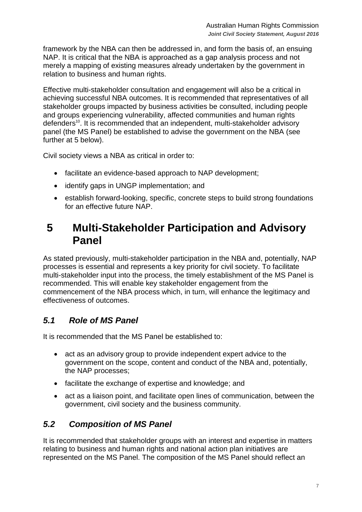framework by the NBA can then be addressed in, and form the basis of, an ensuing NAP. It is critical that the NBA is approached as a gap analysis process and not merely a mapping of existing measures already undertaken by the government in relation to business and human rights.

Effective multi-stakeholder consultation and engagement will also be a critical in achieving successful NBA outcomes. It is recommended that representatives of all stakeholder groups impacted by business activities be consulted, including people and groups experiencing vulnerability, affected communities and human rights defenders<sup>10</sup>. It is recommended that an independent, multi-stakeholder advisory panel (the MS Panel) be established to advise the government on the NBA (see further at 5 below).

Civil society views a NBA as critical in order to:

- facilitate an evidence-based approach to NAP development;
- identify gaps in UNGP implementation; and
- establish forward-looking, specific, concrete steps to build strong foundations for an effective future NAP.

## <span id="page-6-0"></span>**5 Multi-Stakeholder Participation and Advisory Panel**

As stated previously, multi-stakeholder participation in the NBA and, potentially, NAP processes is essential and represents a key priority for civil society. To facilitate multi-stakeholder input into the process, the timely establishment of the MS Panel is recommended. This will enable key stakeholder engagement from the commencement of the NBA process which, in turn, will enhance the legitimacy and effectiveness of outcomes.

### <span id="page-6-1"></span>*5.1 Role of MS Panel*

It is recommended that the MS Panel be established to:

- act as an advisory group to provide independent expert advice to the government on the scope, content and conduct of the NBA and, potentially, the NAP processes;
- facilitate the exchange of expertise and knowledge; and
- act as a liaison point, and facilitate open lines of communication, between the government, civil society and the business community.

### <span id="page-6-2"></span>*5.2 Composition of MS Panel*

It is recommended that stakeholder groups with an interest and expertise in matters relating to business and human rights and national action plan initiatives are represented on the MS Panel. The composition of the MS Panel should reflect an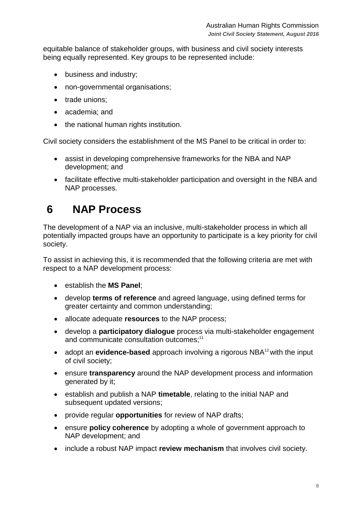equitable balance of stakeholder groups, with business and civil society interests being equally represented. Key groups to be represented include:

- business and industry;
- non-governmental organisations;
- trade unions;
- academia: and
- the national human rights institution.

Civil society considers the establishment of the MS Panel to be critical in order to:

- assist in developing comprehensive frameworks for the NBA and NAP development; and
- facilitate effective multi-stakeholder participation and oversight in the NBA and NAP processes.

## <span id="page-7-0"></span>**6 NAP Process**

The development of a NAP via an inclusive, multi-stakeholder process in which all potentially impacted groups have an opportunity to participate is a key priority for civil society.

To assist in achieving this, it is recommended that the following criteria are met with respect to a NAP development process:

- establish the **MS Panel**;
- develop **terms of reference** and agreed language, using defined terms for greater certainty and common understanding;
- allocate adequate **resources** to the NAP process;
- develop a **participatory dialogue** process via multi-stakeholder engagement and communicate consultation outcomes;<sup>11</sup>
- adopt an **evidence-based** approach involving a rigorous NBA<sup>12</sup> with the input of civil society;
- ensure **transparency** around the NAP development process and information generated by it;
- establish and publish a NAP **timetable**, relating to the initial NAP and subsequent updated versions;
- provide regular **opportunities** for review of NAP drafts;
- ensure **policy coherence** by adopting a whole of government approach to NAP development; and
- include a robust NAP impact **review mechanism** that involves civil society.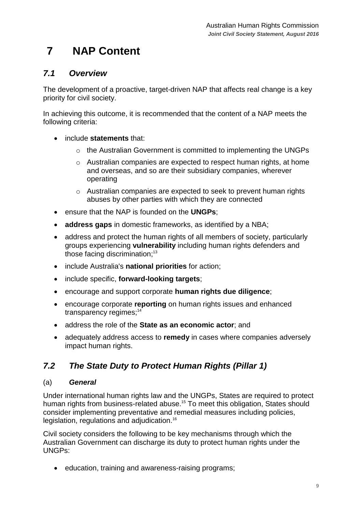# <span id="page-8-0"></span>**7 NAP Content**

### <span id="page-8-1"></span>*7.1 Overview*

The development of a proactive, target-driven NAP that affects real change is a key priority for civil society.

In achieving this outcome, it is recommended that the content of a NAP meets the following criteria:

- include **statements** that:
	- o the Australian Government is committed to implementing the UNGPs
	- o Australian companies are expected to respect human rights, at home and overseas, and so are their subsidiary companies, wherever operating
	- o Australian companies are expected to seek to prevent human rights abuses by other parties with which they are connected
- ensure that the NAP is founded on the **UNGPs**;
- **address gaps** in domestic frameworks, as identified by a NBA;
- address and protect the human rights of all members of society, particularly groups experiencing **vulnerability** including human rights defenders and those facing discrimination;<sup>13</sup>
- include Australia's **national priorities** for action;
- include specific, **forward-looking targets**;
- encourage and support corporate **human rights due diligence**;
- encourage corporate **reporting** on human rights issues and enhanced transparency regimes;<sup>14</sup>
- address the role of the **State as an economic actor**; and
- adequately address access to **remedy** in cases where companies adversely impact human rights.

### <span id="page-8-2"></span>*7.2 The State Duty to Protect Human Rights (Pillar 1)*

#### (a) *General*

Under international human rights law and the UNGPs, States are required to protect human rights from business-related abuse.<sup>15</sup> To meet this obligation. States should consider implementing preventative and remedial measures including policies, legislation, regulations and adjudication.<sup>16</sup>

Civil society considers the following to be key mechanisms through which the Australian Government can discharge its duty to protect human rights under the UNGPs:

• education, training and awareness-raising programs;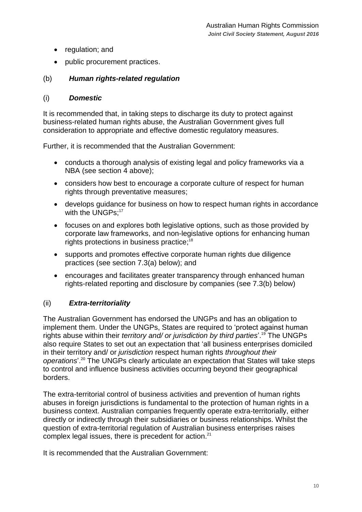- regulation; and
- public procurement practices.

#### (b) *Human rights-related regulation*

#### (i) *Domestic*

It is recommended that, in taking steps to discharge its duty to protect against business-related human rights abuse, the Australian Government gives full consideration to appropriate and effective domestic regulatory measures.

Further, it is recommended that the Australian Government:

- conducts a thorough analysis of existing legal and policy frameworks via a NBA (see section 4 above);
- considers how best to encourage a corporate culture of respect for human rights through preventative measures;
- develops guidance for business on how to respect human rights in accordance with the UNGPs:<sup>17</sup>
- focuses on and explores both legislative options, such as those provided by corporate law frameworks, and non-legislative options for enhancing human rights protections in business practice; 18
- supports and promotes effective corporate human rights due diligence practices (see section 7.3(a) below); and
- encourages and facilitates greater transparency through enhanced human rights-related reporting and disclosure by companies (see 7.3(b) below)

#### (ii) *Extra-territoriality*

The Australian Government has endorsed the UNGPs and has an obligation to implement them. Under the UNGPs, States are required to 'protect against human rights abuse within their *territory and/ or jurisdiction by third parties*'. <sup>19</sup> The UNGPs also require States to set out an expectation that 'all business enterprises domiciled in their territory and/ or *jurisdiction* respect human rights *throughout their operations*'. <sup>20</sup> The UNGPs clearly articulate an expectation that States will take steps to control and influence business activities occurring beyond their geographical borders.

The extra-territorial control of business activities and prevention of human rights abuses in foreign jurisdictions is fundamental to the protection of human rights in a business context. Australian companies frequently operate extra-territorially, either directly or indirectly through their subsidiaries or business relationships. Whilst the question of extra-territorial regulation of Australian business enterprises raises complex legal issues, there is precedent for action.<sup>21</sup>

It is recommended that the Australian Government: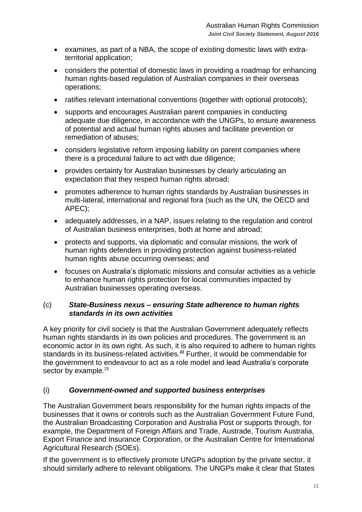- examines, as part of a NBA, the scope of existing domestic laws with extraterritorial application;
- considers the potential of domestic laws in providing a roadmap for enhancing human rights-based regulation of Australian companies in their overseas operations;
- ratifies relevant international conventions (together with optional protocols);
- supports and encourages Australian parent companies in conducting adequate due diligence, in accordance with the UNGPs, to ensure awareness of potential and actual human rights abuses and facilitate prevention or remediation of abuses;
- considers legislative reform imposing liability on parent companies where there is a procedural failure to act with due diligence;
- provides certainty for Australian businesses by clearly articulating an expectation that they respect human rights abroad:
- promotes adherence to human rights standards by Australian businesses in multi-lateral, international and regional fora (such as the UN, the OECD and APEC);
- adequately addresses, in a NAP, issues relating to the regulation and control of Australian business enterprises, both at home and abroad;
- protects and supports, via diplomatic and consular missions, the work of human rights defenders in providing protection against business-related human rights abuse occurring overseas; and
- focuses on Australia's diplomatic missions and consular activities as a vehicle to enhance human rights protection for local communities impacted by Australian businesses operating overseas.

#### (c) *State-Business nexus – ensuring State adherence to human rights standards in its own activities*

A key priority for civil society is that the Australian Government adequately reflects human rights standards in its own policies and procedures. The government is an economic actor in its own right. As such, it is also required to adhere to human rights standards in its business-related activities. **<sup>22</sup>** Further, it would be commendable for the government to endeavour to act as a role model and lead Australia's corporate sector by example.<sup>23</sup>

#### (i) *Government-owned and supported business enterprises*

The Australian Government bears responsibility for the human rights impacts of the businesses that it owns or controls such as the Australian Government Future Fund, the Australian Broadcasting Corporation and Australia Post or supports through, for example, the Department of Foreign Affairs and Trade, Austrade, Tourism Australia, Export Finance and Insurance Corporation, or the Australian Centre for International Agricultural Research (SOEs).

If the government is to effectively promote UNGPs adoption by the private sector, it should similarly adhere to relevant obligations. The UNGPs make it clear that States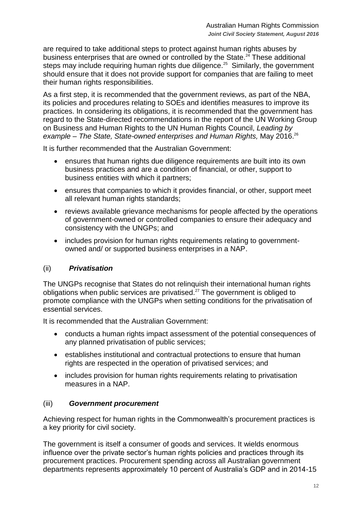are required to take additional steps to protect against human rights abuses by business enterprises that are owned or controlled by the State. $24$  These additional steps may include requiring human rights due diligence.<sup>25</sup> Similarly, the government should ensure that it does not provide support for companies that are failing to meet their human rights responsibilities.

As a first step, it is recommended that the government reviews, as part of the NBA, its policies and procedures relating to SOEs and identifies measures to improve its practices. In considering its obligations, it is recommended that the government has regard to the State-directed recommendations in the report of the UN Working Group on Business and Human Rights to the UN Human Rights Council, *Leading by example – The State, State-owned enterprises and Human Rights,* May 2016.<sup>26</sup>

It is further recommended that the Australian Government:

- ensures that human rights due diligence requirements are built into its own business practices and are a condition of financial, or other, support to business entities with which it partners;
- ensures that companies to which it provides financial, or other, support meet all relevant human rights standards;
- reviews available grievance mechanisms for people affected by the operations of government-owned or controlled companies to ensure their adequacy and consistency with the UNGPs; and
- includes provision for human rights requirements relating to governmentowned and/ or supported business enterprises in a NAP.

#### (ii) *Privatisation*

The UNGPs recognise that States do not relinquish their international human rights obligations when public services are privatised. $27$  The government is obliged to promote compliance with the UNGPs when setting conditions for the privatisation of essential services.

It is recommended that the Australian Government:

- conducts a human rights impact assessment of the potential consequences of any planned privatisation of public services;
- establishes institutional and contractual protections to ensure that human rights are respected in the operation of privatised services; and
- includes provision for human rights requirements relating to privatisation measures in a NAP.

#### (iii) *Government procurement*

Achieving respect for human rights in the Commonwealth's procurement practices is a key priority for civil society.

The government is itself a consumer of goods and services. It wields enormous influence over the private sector's human rights policies and practices through its procurement practices. Procurement spending across all Australian government departments represents approximately 10 percent of Australia's GDP and in 2014-15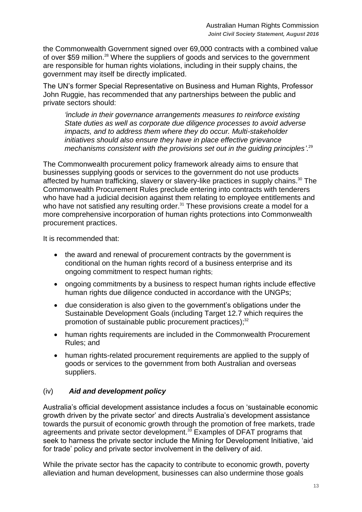the Commonwealth Government signed over 69,000 contracts with a combined value of over \$59 million.<sup>28</sup> Where the suppliers of goods and services to the government are responsible for human rights violations, including in their supply chains, the government may itself be directly implicated.

The UN's former Special Representative on Business and Human Rights, Professor John Ruggie, has recommended that any partnerships between the public and private sectors should:

*'include in their governance arrangements measures to reinforce existing State duties as well as corporate due diligence processes to avoid adverse impacts, and to address them where they do occur. Multi-stakeholder initiatives should also ensure they have in place effective grievance mechanisms consistent with the provisions set out in the guiding principles'*. 29

The Commonwealth procurement policy framework already aims to ensure that businesses supplying goods or services to the government do not use products affected by human trafficking, slavery or slavery-like practices in supply chains.<sup>30</sup> The Commonwealth Procurement Rules preclude entering into contracts with tenderers who have had a judicial decision against them relating to employee entitlements and who have not satisfied any resulting order.<sup>31</sup> These provisions create a model for a more comprehensive incorporation of human rights protections into Commonwealth procurement practices.

It is recommended that:

- the award and renewal of procurement contracts by the government is conditional on the human rights record of a business enterprise and its ongoing commitment to respect human rights;
- ongoing commitments by a business to respect human rights include effective human rights due diligence conducted in accordance with the UNGPs;
- due consideration is also given to the government's obligations under the Sustainable Development Goals (including Target 12.7 which requires the promotion of sustainable public procurement practices); $32$
- human rights requirements are included in the Commonwealth Procurement Rules; and
- human rights-related procurement requirements are applied to the supply of goods or services to the government from both Australian and overseas suppliers.

#### (iv) *Aid and development policy*

Australia's official development assistance includes a focus on 'sustainable economic growth driven by the private sector' and directs Australia's development assistance towards the pursuit of economic growth through the promotion of free markets, trade agreements and private sector development.<sup>33</sup> Examples of DFAT programs that seek to harness the private sector include the Mining for Development Initiative, 'aid for trade' policy and private sector involvement in the delivery of aid.

While the private sector has the capacity to contribute to economic growth, poverty alleviation and human development, businesses can also undermine those goals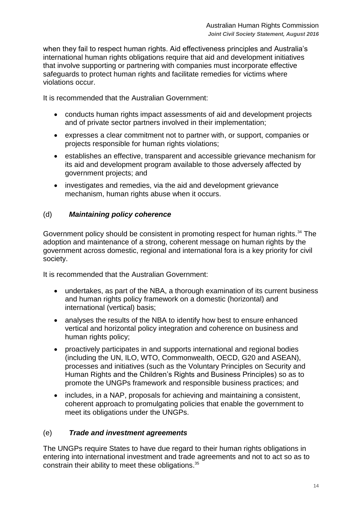when they fail to respect human rights. Aid effectiveness principles and Australia's international human rights obligations require that aid and development initiatives that involve supporting or partnering with companies must incorporate effective safeguards to protect human rights and facilitate remedies for victims where violations occur.

It is recommended that the Australian Government:

- conducts human rights impact assessments of aid and development projects and of private sector partners involved in their implementation;
- expresses a clear commitment not to partner with, or support, companies or projects responsible for human rights violations;
- establishes an effective, transparent and accessible grievance mechanism for its aid and development program available to those adversely affected by government projects; and
- investigates and remedies, via the aid and development grievance mechanism, human rights abuse when it occurs.

#### (d) *Maintaining policy coherence*

Government policy should be consistent in promoting respect for human rights.<sup>34</sup> The adoption and maintenance of a strong, coherent message on human rights by the government across domestic, regional and international fora is a key priority for civil society.

It is recommended that the Australian Government:

- undertakes, as part of the NBA, a thorough examination of its current business and human rights policy framework on a domestic (horizontal) and international (vertical) basis;
- analyses the results of the NBA to identify how best to ensure enhanced vertical and horizontal policy integration and coherence on business and human rights policy;
- proactively participates in and supports international and regional bodies (including the UN, ILO, WTO, Commonwealth, OECD, G20 and ASEAN), processes and initiatives (such as the Voluntary Principles on Security and Human Rights and the Children's Rights and Business Principles) so as to promote the UNGPs framework and responsible business practices; and
- includes, in a NAP, proposals for achieving and maintaining a consistent, coherent approach to promulgating policies that enable the government to meet its obligations under the UNGPs.

#### (e) *Trade and investment agreements*

The UNGPs require States to have due regard to their human rights obligations in entering into international investment and trade agreements and not to act so as to constrain their ability to meet these obligations.<sup>35</sup>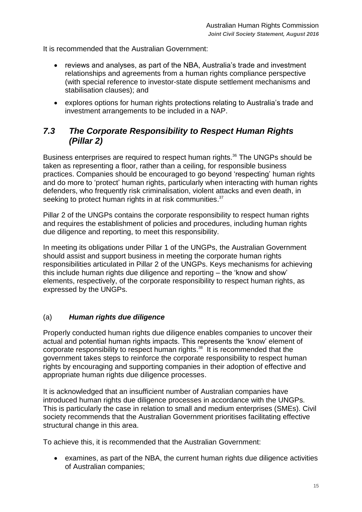It is recommended that the Australian Government:

- reviews and analyses, as part of the NBA, Australia's trade and investment relationships and agreements from a human rights compliance perspective (with special reference to investor-state dispute settlement mechanisms and stabilisation clauses); and
- explores options for human rights protections relating to Australia's trade and investment arrangements to be included in a NAP.

### <span id="page-14-0"></span>*7.3 The Corporate Responsibility to Respect Human Rights (Pillar 2)*

Business enterprises are required to respect human rights.<sup>36</sup> The UNGPs should be taken as representing a floor, rather than a ceiling, for responsible business practices. Companies should be encouraged to go beyond 'respecting' human rights and do more to 'protect' human rights, particularly when interacting with human rights defenders, who frequently risk criminalisation, violent attacks and even death, in seeking to protect human rights in at risk communities.<sup>37</sup>

Pillar 2 of the UNGPs contains the corporate responsibility to respect human rights and requires the establishment of policies and procedures, including human rights due diligence and reporting, to meet this responsibility.

In meeting its obligations under Pillar 1 of the UNGPs, the Australian Government should assist and support business in meeting the corporate human rights responsibilities articulated in Pillar 2 of the UNGPs. Keys mechanisms for achieving this include human rights due diligence and reporting – the 'know and show' elements, respectively, of the corporate responsibility to respect human rights, as expressed by the UNGPs.

#### (a) *Human rights due diligence*

Properly conducted human rights due diligence enables companies to uncover their actual and potential human rights impacts. This represents the 'know' element of corporate responsibility to respect human rights. <sup>38</sup> It is recommended that the government takes steps to reinforce the corporate responsibility to respect human rights by encouraging and supporting companies in their adoption of effective and appropriate human rights due diligence processes.

It is acknowledged that an insufficient number of Australian companies have introduced human rights due diligence processes in accordance with the UNGPs. This is particularly the case in relation to small and medium enterprises (SMEs). Civil society recommends that the Australian Government prioritises facilitating effective structural change in this area.

To achieve this, it is recommended that the Australian Government:

 examines, as part of the NBA, the current human rights due diligence activities of Australian companies;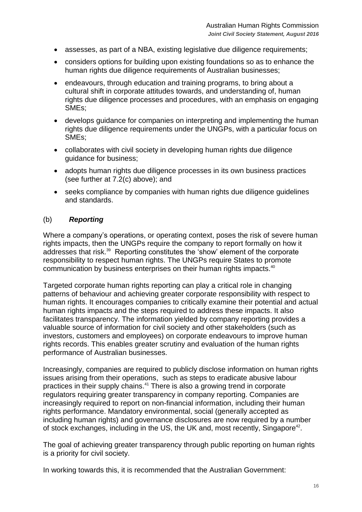- assesses, as part of a NBA, existing legislative due diligence requirements;
- considers options for building upon existing foundations so as to enhance the human rights due diligence requirements of Australian businesses;
- endeavours, through education and training programs, to bring about a cultural shift in corporate attitudes towards, and understanding of, human rights due diligence processes and procedures, with an emphasis on engaging SMEs;
- develops guidance for companies on interpreting and implementing the human rights due diligence requirements under the UNGPs, with a particular focus on SMEs;
- collaborates with civil society in developing human rights due diligence guidance for business;
- adopts human rights due diligence processes in its own business practices (see further at 7.2(c) above); and
- seeks compliance by companies with human rights due diligence guidelines and standards.

#### (b) *Reporting*

Where a company's operations, or operating context, poses the risk of severe human rights impacts, then the UNGPs require the company to report formally on how it addresses that risk.<sup>39</sup> Reporting constitutes the 'show' element of the corporate responsibility to respect human rights. The UNGPs require States to promote communication by business enterprises on their human rights impacts.<sup>40</sup>

Targeted corporate human rights reporting can play a critical role in changing patterns of behaviour and achieving greater corporate responsibility with respect to human rights. It encourages companies to critically examine their potential and actual human rights impacts and the steps required to address these impacts. It also facilitates transparency. The information yielded by company reporting provides a valuable source of information for civil society and other stakeholders (such as investors, customers and employees) on corporate endeavours to improve human rights records. This enables greater scrutiny and evaluation of the human rights performance of Australian businesses.

Increasingly, companies are required to publicly disclose information on human rights issues arising from their operations, such as steps to eradicate abusive labour practices in their supply chains. <sup>41</sup> There is also a growing trend in corporate regulators requiring greater transparency in company reporting. Companies are increasingly required to report on non-financial information, including their human rights performance. Mandatory environmental, social (generally accepted as including human rights) and governance disclosures are now required by a number of stock exchanges, including in the US, the UK and, most recently, Singapore<sup>42</sup>.

The goal of achieving greater transparency through public reporting on human rights is a priority for civil society.

In working towards this, it is recommended that the Australian Government: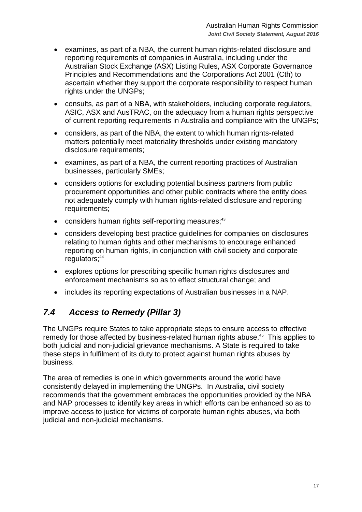- examines, as part of a NBA, the current human rights-related disclosure and reporting requirements of companies in Australia, including under the Australian Stock Exchange (ASX) Listing Rules, ASX Corporate Governance Principles and Recommendations and the Corporations Act 2001 (Cth) to ascertain whether they support the corporate responsibility to respect human rights under the UNGPs;
- consults, as part of a NBA, with stakeholders, including corporate regulators, ASIC, ASX and AusTRAC, on the adequacy from a human rights perspective of current reporting requirements in Australia and compliance with the UNGPs;
- considers, as part of the NBA, the extent to which human rights-related matters potentially meet materiality thresholds under existing mandatory disclosure requirements;
- examines, as part of a NBA, the current reporting practices of Australian businesses, particularly SMEs;
- considers options for excluding potential business partners from public procurement opportunities and other public contracts where the entity does not adequately comply with human rights-related disclosure and reporting requirements;
- considers human rights self-reporting measures;<sup>43</sup>
- considers developing best practice guidelines for companies on disclosures relating to human rights and other mechanisms to encourage enhanced reporting on human rights, in conjunction with civil society and corporate regulators; 44
- explores options for prescribing specific human rights disclosures and enforcement mechanisms so as to effect structural change; and
- includes its reporting expectations of Australian businesses in a NAP.

## <span id="page-16-0"></span>*7.4 Access to Remedy (Pillar 3)*

The UNGPs require States to take appropriate steps to ensure access to effective remedy for those affected by business-related human rights abuse.<sup>45</sup> This applies to both judicial and non-judicial grievance mechanisms. A State is required to take these steps in fulfilment of its duty to protect against human rights abuses by business.

The area of remedies is one in which governments around the world have consistently delayed in implementing the UNGPs. In Australia, civil society recommends that the government embraces the opportunities provided by the NBA and NAP processes to identify key areas in which efforts can be enhanced so as to improve access to justice for victims of corporate human rights abuses, via both judicial and non-judicial mechanisms.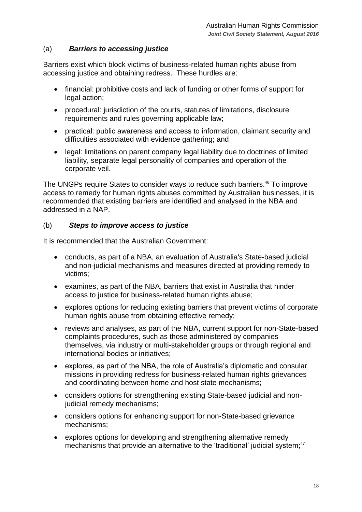#### (a) *Barriers to accessing justice*

Barriers exist which block victims of business-related human rights abuse from accessing justice and obtaining redress. These hurdles are:

- financial: prohibitive costs and lack of funding or other forms of support for legal action;
- procedural: jurisdiction of the courts, statutes of limitations, disclosure requirements and rules governing applicable law;
- practical: public awareness and access to information, claimant security and difficulties associated with evidence gathering; and
- legal: limitations on parent company legal liability due to doctrines of limited liability, separate legal personality of companies and operation of the corporate veil.

The UNGPs require States to consider ways to reduce such barriers.<sup>46</sup> To improve access to remedy for human rights abuses committed by Australian businesses, it is recommended that existing barriers are identified and analysed in the NBA and addressed in a NAP.

#### (b) *Steps to improve access to justice*

It is recommended that the Australian Government:

- conducts, as part of a NBA, an evaluation of Australia's State-based judicial and non-judicial mechanisms and measures directed at providing remedy to victims;
- examines, as part of the NBA, barriers that exist in Australia that hinder access to justice for business-related human rights abuse;
- explores options for reducing existing barriers that prevent victims of corporate human rights abuse from obtaining effective remedy;
- reviews and analyses, as part of the NBA, current support for non-State-based complaints procedures, such as those administered by companies themselves, via industry or multi-stakeholder groups or through regional and international bodies or initiatives;
- explores, as part of the NBA, the role of Australia's diplomatic and consular missions in providing redress for business-related human rights grievances and coordinating between home and host state mechanisms;
- considers options for strengthening existing State-based judicial and nonjudicial remedy mechanisms;
- considers options for enhancing support for non-State-based grievance mechanisms;
- explores options for developing and strengthening alternative remedy mechanisms that provide an alternative to the 'traditional' judicial system;<sup>47</sup>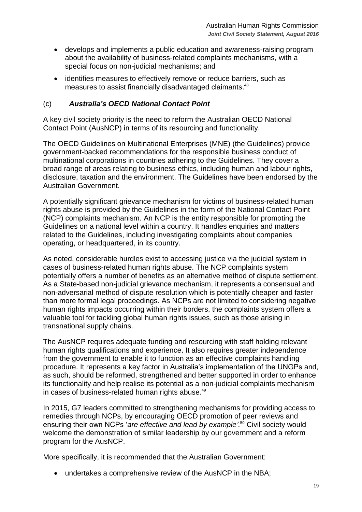- develops and implements a public education and awareness-raising program about the availability of business-related complaints mechanisms, with a special focus on non-judicial mechanisms; and
- identifies measures to effectively remove or reduce barriers, such as measures to assist financially disadvantaged claimants.<sup>48</sup>

#### (c) *Australia's OECD National Contact Point*

A key civil society priority is the need to reform the Australian OECD National Contact Point (AusNCP) in terms of its resourcing and functionality.

The OECD Guidelines on Multinational Enterprises (MNE) (the Guidelines) provide government-backed recommendations for the responsible business conduct of multinational corporations in countries adhering to the Guidelines. They cover a broad range of areas relating to business ethics, including human and labour rights, disclosure, taxation and the environment. The Guidelines have been endorsed by the Australian Government.

A potentially significant grievance mechanism for victims of business-related human rights abuse is provided by the Guidelines in the form of the National Contact Point (NCP) complaints mechanism. An NCP is the entity responsible for promoting the Guidelines on a national level within a country. It handles enquiries and matters related to the Guidelines, including investigating complaints about companies operating, or headquartered, in its country.

As noted, considerable hurdles exist to accessing justice via the judicial system in cases of business-related human rights abuse. The NCP complaints system potentially offers a number of benefits as an alternative method of dispute settlement. As a State-based non-judicial grievance mechanism, it represents a consensual and non-adversarial method of dispute resolution which is potentially cheaper and faster than more formal legal proceedings. As NCPs are not limited to considering negative human rights impacts occurring within their borders, the complaints system offers a valuable tool for tackling global human rights issues, such as those arising in transnational supply chains.

The AusNCP requires adequate funding and resourcing with staff holding relevant human rights qualifications and experience. It also requires greater independence from the government to enable it to function as an effective complaints handling procedure. It represents a key factor in Australia's implementation of the UNGPs and, as such, should be reformed, strengthened and better supported in order to enhance its functionality and help realise its potential as a non-judicial complaints mechanism in cases of business-related human rights abuse.<sup>49</sup>

In 2015, G7 leaders committed to strengthening mechanisms for providing access to remedies through NCPs, by encouraging OECD promotion of peer reviews and ensuring their own NCPs '*are effective and lead by example'.*<sup>50</sup> Civil society would welcome the demonstration of similar leadership by our government and a reform program for the AusNCP.

More specifically, it is recommended that the Australian Government:

undertakes a comprehensive review of the AusNCP in the NBA;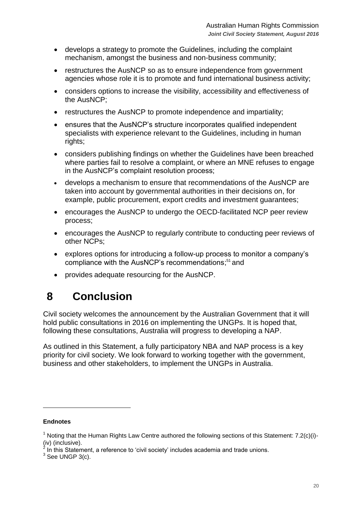- develops a strategy to promote the Guidelines, including the complaint mechanism, amongst the business and non-business community;
- restructures the AusNCP so as to ensure independence from government agencies whose role it is to promote and fund international business activity;
- considers options to increase the visibility, accessibility and effectiveness of the AusNCP;
- restructures the AusNCP to promote independence and impartiality;
- ensures that the AusNCP's structure incorporates qualified independent specialists with experience relevant to the Guidelines, including in human rights;
- considers publishing findings on whether the Guidelines have been breached where parties fail to resolve a complaint, or where an MNE refuses to engage in the AusNCP's complaint resolution process;
- develops a mechanism to ensure that recommendations of the AusNCP are taken into account by governmental authorities in their decisions on, for example, public procurement, export credits and investment guarantees;
- encourages the AusNCP to undergo the OECD-facilitated NCP peer review process;
- encourages the AusNCP to regularly contribute to conducting peer reviews of other NCPs;
- explores options for introducing a follow-up process to monitor a company's compliance with the AusNCP's recommendations;<sup>51</sup> and
- provides adequate resourcing for the AusNCP.

## <span id="page-19-0"></span>**8 Conclusion**

Civil society welcomes the announcement by the Australian Government that it will hold public consultations in 2016 on implementing the UNGPs. It is hoped that, following these consultations, Australia will progress to developing a NAP.

As outlined in this Statement, a fully participatory NBA and NAP process is a key priority for civil society. We look forward to working together with the government, business and other stakeholders, to implement the UNGPs in Australia.

#### **Endnotes**

 $\overline{a}$ 

<sup>&</sup>lt;sup>1</sup> Noting that the Human Rights Law Centre authored the following sections of this Statement: 7.2(c)(i)-(iv) (inclusive). 2

In this Statement, a reference to 'civil society' includes academia and trade unions.

 $3$  See UNGP 3(c).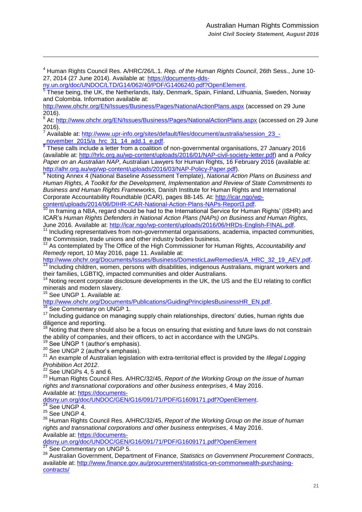<sup>4</sup> Human Rights Council Res. A/HRC/26/L.1. *Rep. of the Human Rights Council*, 26th Sess., June 10 27, 2014 (27 June 2014). Available at: [https://documents-dds-](https://documents-dds-ny.un.org/doc/UNDOC/LTD/G14/062/40/PDF/G1406240.pdf?OpenElement)

[ny.un.org/doc/UNDOC/LTD/G14/062/40/PDF/G1406240.pdf?OpenElement.](https://documents-dds-ny.un.org/doc/UNDOC/LTD/G14/062/40/PDF/G1406240.pdf?OpenElement)

<sup>5</sup> These being, the UK, the Netherlands, Italy, Denmark, Spain, Finland, Lithuania, Sweden, Norway and Colombia. Information available at:

<http://www.ohchr.org/EN/Issues/Business/Pages/NationalActionPlans.aspx> (accessed on 29 June 2016).

6 At:<http://www.ohchr.org/EN/Issues/Business/Pages/NationalActionPlans.aspx> (accessed on 29 June 2016).<br>7 Aveil

Available at: [http://www.upr-info.org/sites/default/files/document/australia/session\\_23\\_-](http://www.upr-info.org/sites/default/files/document/australia/session_23_-_november_2015/a_hrc_31_14_add.1_e.pdf) [\\_november\\_2015/a\\_hrc\\_31\\_14\\_add.1\\_e.pdf.](http://www.upr-info.org/sites/default/files/document/australia/session_23_-_november_2015/a_hrc_31_14_add.1_e.pdf)

 $8$  These calls include a letter from a coalition of non-governmental organisations, 27 January 2016 (available at: [http://hrlc.org.au/wp-content/uploads/2016/01/NAP-civil-society-letter.pdf\)](http://hrlc.org.au/wp-content/uploads/2016/01/NAP-civil-society-letter.pdf) and a *Policy Paper on an Australian NAP*, Australian Lawyers for Human Rights, 16 February 2016 (available at: [http://alhr.org.au/wp/wp-content/uploads/2016/03/NAP-Policy-Paper.pdf\)](http://alhr.org.au/wp/wp-content/uploads/2016/03/NAP-Policy-Paper.pdf).

<sup>9</sup> Noting Annex 4 (National Baseline Assessment Template), *National Action Plans on Business and Human Rights, A Toolkit for the Development, Implementation and Review of State Commitments to Business and Human Rights Frameworks,* Danish Institute for Human Rights and International Corporate Accountability Roundtable (ICAR), pages 88-145. At: [http://icar.ngo/wp-](http://icar.ngo/wp-content/uploads/2014/06/DIHR-ICAR-National-Action-Plans-NAPs-Report3.pdf)

[content/uploads/2014/06/DIHR-ICAR-National-Action-Plans-NAPs-Report3.pdf.](http://icar.ngo/wp-content/uploads/2014/06/DIHR-ICAR-National-Action-Plans-NAPs-Report3.pdf)  $10$  In framing a NBA, regard should be had to the International Service for Human Rights' (ISHR) and ICAR's *Human Rights Defenders in National Action Plans (NAPs) on Business and Human Rights*, June 2016*.* Available at: [http://icar.ngo/wp-content/uploads/2016/06/HRDs-English-FINAL.pdf.](http://icar.ngo/wp-content/uploads/2016/06/HRDs-English-FINAL.pdf)

<sup>11</sup> Including representatives from non-governmental organisations, academia, impacted communities, the Commission, trade unions and other industry bodies business.

<sup>12</sup> As contemplated by The Office of the High Commissioner for Human Rights, *Accountability and Remedy* report, 10 May 2016, page 11. Available at:

[http://www.ohchr.org/Documents/Issues/Business/DomesticLawRemedies/A\\_HRC\\_32\\_19\\_AEV.pdf.](http://www.ohchr.org/Documents/Issues/Business/DomesticLawRemedies/A_HRC_32_19_AEV.pdf) Including children, women, persons with disabilities, indigenous Australians, migrant workers and their families, LGBTIQ, impacted communities and older Australians.

Noting recent corporate disclosure developments in the UK, the US and the EU relating to conflict minerals and modern slavery.

<sup>15</sup> See UNGP 1. Available at:

 $\overline{a}$ 

[http://www.ohchr.org/Documents/Publications/GuidingPrinciplesBusinessHR\\_EN.pdf.](http://www.ohchr.org/Documents/Publications/GuidingPrinciplesBusinessHR_EN.pdf)

<sup>16</sup> See Commentary on UNGP 1.

<sup>17</sup> Including guidance on managing supply chain relationships, directors' duties, human rights due diligence and reporting.

 $18$  Noting that there should also be a focus on ensuring that existing and future laws do not constrain the ability of companies, and their officers, to act in accordance with the UNGPs.

<sup>19</sup> See UNGP 1 (author's emphasis).

 $20$  See UNGP 2 (author's emphasis).

<sup>21</sup> An example of Australian legislation with extra-territorial effect is provided by the *Illegal Logging Prohibition Act 2012*.

 $22$  See UNGPs 4, 5 and 6.

<sup>23</sup> Human Rights Council Res. A/HRC/32/45, *Report of the Working Group on the issue of human rights and transnational corporations and other business enterprises*, 4 May 2016. Available at: [https://documents-](https://documents-ddsny.un.org/doc/UNDOC/GEN/G16/091/71/PDF/G1609171.pdf?OpenElement)

[ddsny.un.org/doc/UNDOC/GEN/G16/091/71/PDF/G1609171.pdf?OpenElement.](https://documents-ddsny.un.org/doc/UNDOC/GEN/G16/091/71/PDF/G1609171.pdf?OpenElement)

 $24$  See UNGP 4.

 $25$  See UNGP 4.

<sup>26</sup> Human Rights Council Res. A/HRC/32/45, *Report of the Working Group on the issue of human rights and transnational corporations and other business enterprises*, 4 May 2016. Available at: [https://documents-](https://documents-ddsny.un.org/doc/UNDOC/GEN/G16/091/71/PDF/G1609171.pdf?OpenElement)

[ddsny.un.org/doc/UNDOC/GEN/G16/091/71/PDF/G1609171.pdf?OpenElement](https://documents-ddsny.un.org/doc/UNDOC/GEN/G16/091/71/PDF/G1609171.pdf?OpenElement)

See Commentary on UNGP 5.

<sup>28</sup> Australian Government, Department of Finance, *Statistics on Government Procurement Contracts*, available at: [http://www.finance.gov.au/procurement/statistics-on-commonwealth-purchasing](http://www.finance.gov.au/procurement/statistics-on-commonwealth-purchasing-contracts/)[contracts/](http://www.finance.gov.au/procurement/statistics-on-commonwealth-purchasing-contracts/)